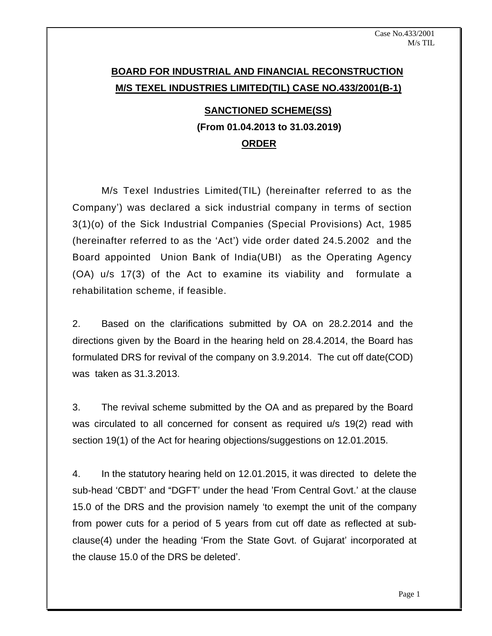# **BOARD FOR INDUSTRIAL AND FINANCIAL RECONSTRUCTION M/S TEXEL INDUSTRIES LIMITED(TIL) CASE NO.433/2001(B-1)**

# **SANCTIONED SCHEME(SS) (From 01.04.2013 to 31.03.2019) ORDER**

M/s Texel Industries Limited(TIL) (hereinafter referred to as the Company') was declared a sick industrial company in terms of section 3(1)(o) of the Sick Industrial Companies (Special Provisions) Act, 1985 (hereinafter referred to as the 'Act') vide order dated  $24.5.2002$  and the Board appointed Union Bank of India(UBI) as the Operating Agency (OA) u/s 17(3) of the Act to examine its viability and formulate a rehabilitation scheme, if feasible.

2. Based on the clarifications submitted by OA on 28.2.2014 and the directions given by the Board in the hearing held on 28.4.2014, the Board has formulated DRS for revival of the company on 3.9.2014. The cut off date(COD) was taken as 31.3.2013.

3. The revival scheme submitted by the OA and as prepared by the Board was circulated to all concerned for consent as required u/s 19(2) read with

section 19(1) of the Act for hearing objections/suggestions on 12.01.2015.<br>4. In the statutory hearing held on 12.01.2015, it was directed to delete the sub-head 'CBDT' and "DGFT' under the head 'From Central Govt.' at the clause 15.0 of the DRS and the provision namely 'to exempt the unit of the company from power cuts for a period of 5 years from cut off date as reflected at sub clause(4) under the heading 'From the State Govt. of Gujarat' incorporated at the clause 15.0 of the DRS be deleted'.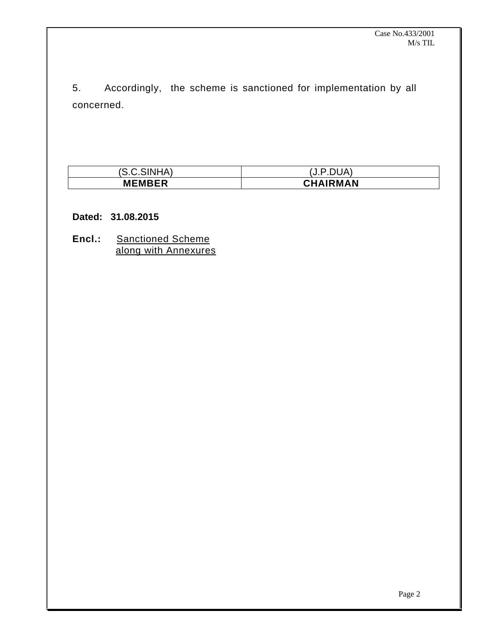5. Accordingly, the scheme is sanctioned for implementation by all

| concerned.    |                 |  |  |  |  |
|---------------|-----------------|--|--|--|--|
|               |                 |  |  |  |  |
|               |                 |  |  |  |  |
|               |                 |  |  |  |  |
|               |                 |  |  |  |  |
|               |                 |  |  |  |  |
| (S.C.SINHA)   | (J.P.DUA)       |  |  |  |  |
| <b>MEMBER</b> | <b>CHAIRMAN</b> |  |  |  |  |

#### **Dated: 31.08.2015**

**Encl.:** Sanctioned Scheme along with Annexures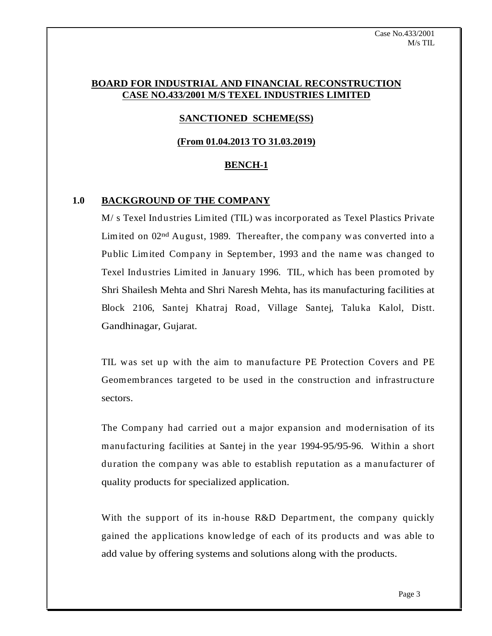#### **BOARD FOR INDUSTRIAL AND FINANCIAL RECONSTRUCTION CASE NO.433/2001 M/S TEXEL INDUSTRIES LIMITED**

# **SANCTIONED SCHEME(SS)**

#### **(From 01.04.2013 TO 31.03.2019)**

#### **BENCH-1**

#### **1.0 BACKGROUND OF THE COMPANY**

M/ s Texel Industries Limited (TIL) was incorporated as Texel Plastics Private Limited on  $02<sup>nd</sup>$  August, 1989. Thereafter, the company was converted into a Public Limited Company in September, 1993 and the name was changed to Texel Industries Limited in January 1996. TIL, which has been promoted by Shri Shailesh Mehta and Shri Naresh Mehta, has its manufacturing facilities at Block 2106, Santej Khatraj Road, Village Santej, Taluka Kalol, Distt. Gandhinagar, Gujarat.

TIL was set up with the aim to manufacture PE Protection Covers and PE Geomembrances targeted to be used in the construction and infrastructure sectors.

The Company had carried out a major expansion and modernisation of its manufacturing facilities at Santej in the year 1994-95/95-96. Within a short duration the company was able to establish reputation as a manufacturer of quality products for specialized application.

With the support of its in-house R&D Department, the company quickly gained the applications knowledge of each of its products and was able to add value by offering systems and solutions along with the products.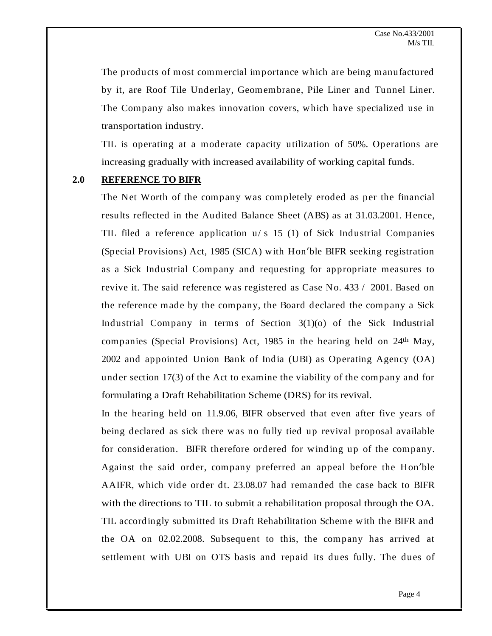The products of most commercial importance which are being manufactured by it, are Roof Tile Underlay, Geomembrane, Pile Liner and Tunnel Liner. The Company also makes innovation covers, which have specialized use in transportation industry.

TIL is operating at a moderate capacity utilization of 50%. Operations are increasing gradually with increased availability of working capital funds.

#### **2.0 REFERENCE TO BIFR**

The Net Worth of the company was completely eroded as per the financial results reflected in the Audited Balance Sheet (ABS) as at 31.03.2001. Hence, TIL filed a reference application  $u/s$  15 (1) of Sick Industrial Companies (Special Provisions) Act, 1985 (SICA) with Hon'ble BIFR seeking registration as a Sick Industrial Company and requesting for appropriate measures to revive it. The said reference was registered as Case No. 433 / 2001. Based on the reference made by the company, the Board declared the company a Sick Industrial Company in terms of Section 3(1)(o) of the Sick Industrial companies (Special Provisions) Act, 1985 in the hearing held on 24<sup>th</sup> May,  $\mathbb{R}^{\text{th}}$  May, 2002 and appointed Union Bank of India (UBI) as Operating Agency (OA) under section 17(3) of the Act to examine the viability of the company and for formulating a Draft Rehabilitation Scheme (DRS) for its revival.

In the hearing held on 11.9.06, BIFR observed that even after five years of being declared as sick there was no fully tied up revival proposal available for consideration. BIFR therefore ordered for winding up of the company. Against the said order, company preferred an appeal before the Hon'ble AAIFR, which vide order dt. 23.08.07 had remanded the case back to BIFR with the directions to TIL to submit a rehabilitation proposal through the OA. TIL accordingly submitted its Draft Rehabilitation Scheme with the BIFR and the OA on 02.02.2008. Subsequent to this, the company has arrived at settlement with UBI on OTS basis and repaid its dues fully. The dues of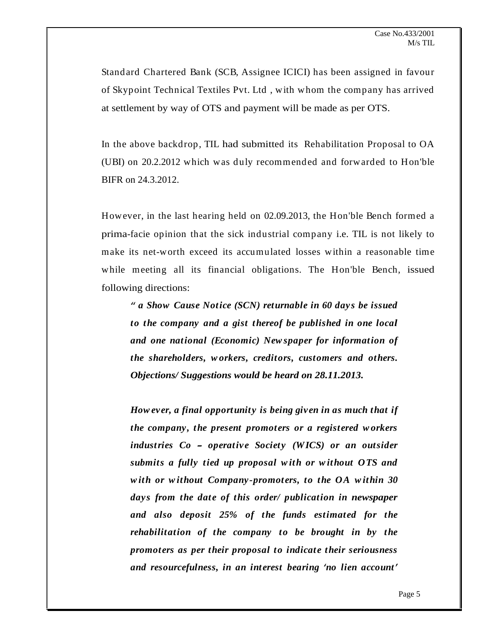Standard Chartered Bank (SCB, Assignee ICICI) has been assigned in favour of Skypoint Technical Textiles Pvt. Ltd , with whom the company has arrived at settlement by way of OTS and payment will be made as per OTS.

In the above backdrop, TIL had submitted its Rehabilitation Proposal to OA (UBI) on 20.2.2012 which was duly recommended and forwarded to Hon'ble BIFR on 24.3.2012.

However, in the last hearing held on 02.09.2013, the Hon'ble Bench formed a prima-facie opinion that the sick industrial company i.e. TIL is not likely to make its net-worth exceed its accumulated losses within a reasonable time while meeting all its financial obligations. The Hon'ble Bench, issued following directions:

*a Show Cause Notice (SCN) returnable in 60 day s be issued to the company and a gist thereof be published in one local and one national (Economic) New spaper for information of the shareholders, w orkers, creditors, customers and others. Objections/ Suggestions would be heard on 28.11.2013.*

*How ev er, a final opportunit y is being giv en in as much that if the company , the present promot ers or a regist ered w orkers industries Co operativ e Societ y (WICS) or an outsider submits a fully tied up proposal w ith or w ithout OTS and w ith or w ithout Company -promot ers, to the OA w ithin 30 day s from the dat e of this order/ publication in newspaper and also deposit 25% of the funds estimated for the rehabilitation of the company to be brought in by the promot ers as per their proposal to indicat e their seriousness and resourcefulness, in an int erest bearing no lien account*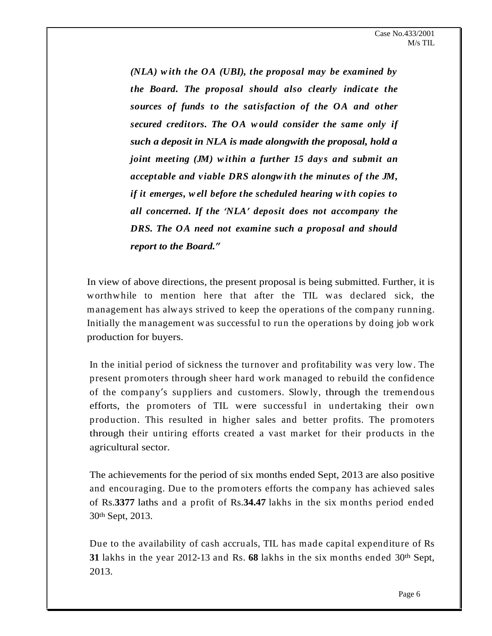*(NLA) w ith the OA (UBI), the proposal may be examined by the Board. The proposal should also clearly indicat e the sources of funds to the satisfaction of the OA and other secured creditors. The OA w ould consider the same only if such a deposit in NLA is made alongwith the proposal, hold a joint meeting (JM) within a further 15 day s and submit an acceptable and v iable DRS alongw ith the minut es of the JM, if it emerges, w ell before the scheduled hearing w ith copies to all concerned. If the NLA deposit does not accompany the DRS. The OA need not examine such a proposal and should report to the Board.*

In view of above directions, the present proposal is being submitted. Further, it is worthwhile to mention here that after the TIL was declared sick, the management has always strived to keep the operations of the company running. Initially the management was successful to run the operations by doing job work production for buyers.

In the initial period of sickness the turnover and profitability was very low. The present promoters through sheer hard work managed to rebuild the confidence of the company's suppliers and customers. Slowly, through the tremendous efforts, the promoters of TIL were successful in undertaking their own production. This resulted in higher sales and better profits. The promoters through their untiring efforts created a vast market for their products in the agricultural sector.

The achievements for the period of six months ended Sept, 2013 are also positive and encouraging. Due to the promoters efforts the company has achieved sales of Rs.**3377** laths and a profit of Rs.**34.47** lakhs in the six months period ended  $30<sup>th</sup>$  Sept, 2013.

Due to the availability of cash accruals, TIL has made capital expenditure of Rs **31** lakhs in the year 2012-13 and Rs. **68** lakhs in the six months ended 30  $\Phi$  Sept, 2013.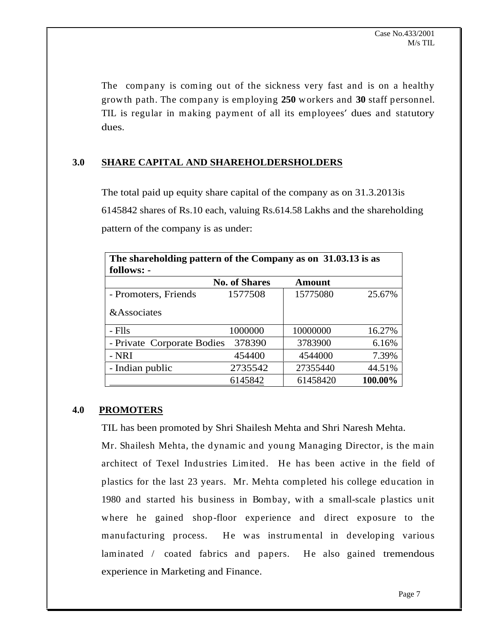The company is coming out of the sickness very fast and is on a healthy growth path. The company is employing **250** workers and **30** staff personnel. TIL is regular in making payment of all its employees' dues and statutory dues.

# **3.0 SHARE CAPITAL AND SHAREHOLDERSHOLDERS**

The total paid up equity share capital of the company as on 31.3.2013is 6145842 shares of Rs.10 each, valuing Rs.614.58 Lakhs and the shareholding pattern of the company is as under:

| The shareholding pattern of the Company as on 31.03.13 is as |                      |          |            |
|--------------------------------------------------------------|----------------------|----------|------------|
| follows: -                                                   |                      |          |            |
|                                                              | <b>No. of Shares</b> | Amount   |            |
| - Promoters, Friends                                         | 1577508              | 15775080 | 25.67%     |
| &Associates                                                  |                      |          |            |
| Flls.                                                        | 1000000              | 10000000 | 16.27%     |
| - Private Corporate Bodies 378390                            |                      | 3783900  | 6.16%      |
| <b>NRI</b>                                                   | 454400               | 4544000  | 7.39%      |
| - Indian public                                              | 2735542              | 27355440 | 44.51%     |
|                                                              | 6145842              | 61458420 | $100.00\%$ |

## **4.0 PROMOTERS**

TIL has been promoted by Shri Shailesh Mehta and Shri Naresh Mehta.

Mr. Shailesh Mehta, the dynamic and young Managing Director, is the main architect of Texel Industries Limited. He has been active in the field of plastics for the last 23 years. Mr. Mehta completed his college education in 1980 and started his business in Bombay, with a small-scale plastics unit where he gained shop-floor experience and direct exposure to the manufacturing process. He was instrumental in developing various laminated / coated fabrics and papers. He also gained tremendous experience in Marketing and Finance.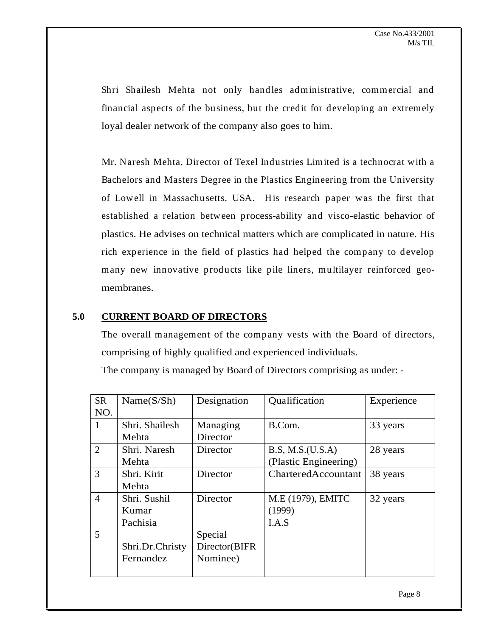Shri Shailesh Mehta not only handles administrative, commercial and financial aspects of the business, but the credit for developing an extremely loyal dealer network of the company also goes to him.

Mr. Naresh Mehta, Director of Texel Industries Limited is a technocrat with a Bachelors and Masters Degree in the Plastics Engineering from the University of Lowell in Massachusetts, USA. His research paper was the first that established a relation between process-ability and visco-elastic behavior of plastics. He advises on technical matters which are complicated in nature. His rich experience in the field of plastics had helped the company to develop many new innovative products like pile liners, multilayer reinforced geo membranes.

## **5.0 CURRENT BOARD OF DIRECTORS**

The overall management of the company vests with the Board of directors, comprising of highly qualified and experienced individuals.

The company is managed by Board of Directors comprising as under: -

| <b>SR</b> | Name(S/Sh)      | Designation   | Qualification         | Experience |
|-----------|-----------------|---------------|-----------------------|------------|
| NO.       |                 |               |                       |            |
|           | Shri. Shailesh  | Managing      | B.Com.                | 33 years   |
|           | Mehta           | Director      |                       |            |
|           | Shri. Naresh    | Director      | $ $ B.S, M.S.(U.S.A)  | 28 years   |
|           | Mehta           |               | (Plastic Engineering) |            |
|           | Shri. Kirit     | Director      | CharteredAccountant   | 38 years   |
|           | Mehta           |               |                       |            |
|           | Shri. Sushil    | Director      | M.E (1979), EMITC     | 32 years   |
|           | Kumar           |               | (1999)                |            |
|           | Pachisia        |               | I.A.S                 |            |
| ◡         |                 | Special       |                       |            |
|           | Shri.Dr.Christy | Director(BIFR |                       |            |
|           | Fernandez       | Nominee)      |                       |            |
|           |                 |               |                       |            |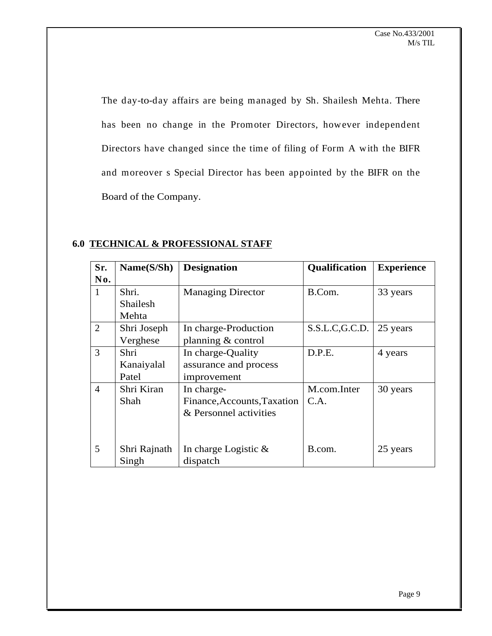The day-to-day affairs are being managed by Sh. Shailesh Mehta. There has been no change in the Promoter Directors, however independent Directors have changed since the time of filing of Form A with the BIFR and moreover s Special Director has been appointed by the BIFR on the Board of the Company.

| <b>ESSIONAL STAFF</b><br><b>6.0 TECHNICAL &amp; PROFE</b> |  |
|-----------------------------------------------------------|--|
|-----------------------------------------------------------|--|

|     | $\vert$ Sr. $\vert$ Name(S/Sh) $\vert$ Designation |                                        | Qualification   Experience              |          |
|-----|----------------------------------------------------|----------------------------------------|-----------------------------------------|----------|
| No. |                                                    |                                        |                                         |          |
|     | Shri.                                              | <b>Managing Director</b>               | B.Com.                                  | 33 years |
|     | Shailesh                                           |                                        |                                         |          |
|     | Mehta                                              |                                        |                                         |          |
|     | Shri Joseph                                        | In charge-Production                   | $\vert$ S.S.L.C,G.C.D. $\vert$ 25 years |          |
|     | Verghese                                           | planning & control                     |                                         |          |
|     | Shri                                               | In charge-Quality                      | D.P.E.                                  | 4 years  |
|     | Kanaiyalal                                         | assurance and process                  |                                         |          |
|     | Patel                                              | improvement                            |                                         |          |
|     | Shri Kiran                                         | In charge-                             | M.com.Inter                             | 30 years |
|     | Shah                                               | Finance, Accounts, Taxation   C.A.     |                                         |          |
|     |                                                    | $\&$ Personnel activities              |                                         |          |
|     |                                                    |                                        |                                         |          |
|     |                                                    |                                        |                                         |          |
|     |                                                    | Shri Rajnath   In charge Logistic $\&$ | B.com.                                  | 25 years |
|     | Singh                                              | dispatch                               |                                         |          |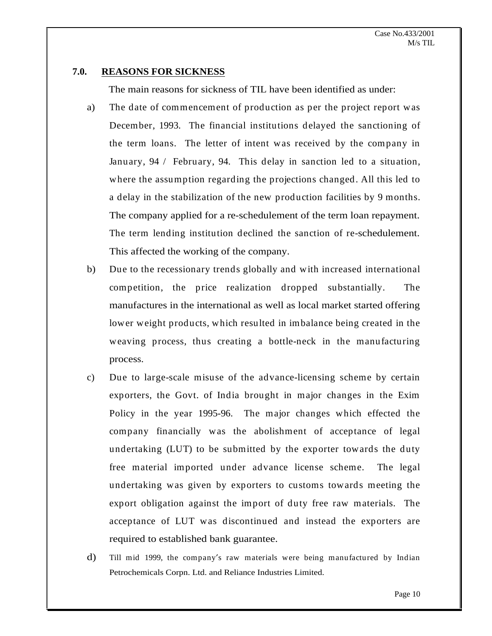#### **7.0. REASONS FOR SICKNESS**

The main reasons for sickness of TIL have been identified as under:

- a) The date of commencement of production as per the project report was December, 1993. The financial institutions delayed the sanctioning of the term loans. The letter of intent was received by the company in January, 94 / February, 94. This delay in sanction led to a situation, where the assumption regarding the projections changed. All this led to a delay in the stabilization of the new production facilities by 9 months. The company applied for a re-schedulement of the term loan repayment. The term lending institution declined the sanction of re-schedulement. This affected the working of the company.
- b) Due to the recessionary trends globally and with increased international competition, the price realization dropped substantially. The manufactures in the international as well as local market started offering lower weight products, which resulted in imbalance being created in the weaving process, thus creating a bottle-neck in the manufacturing process.
- c) Due to large-scale misuse of the advance-licensing scheme by certain exporters, the Govt. of India brought in major changes in the Exim Policy in the year 1995-96. The major changes which effected the company financially was the abolishment of acceptance of legal undertaking (LUT) to be submitted by the exporter towards the duty free material imported under advance license scheme. The legal undertaking was given by exporters to customs towards meeting the export obligation against the import of duty free raw materials. The acceptance of LUT was discontinued and instead the exporters are required to established bank guarantee.
- d) Till mid 1999, the company's raw materials were being manufactured by Indian Petrochemicals Corpn. Ltd. and Reliance Industries Limited.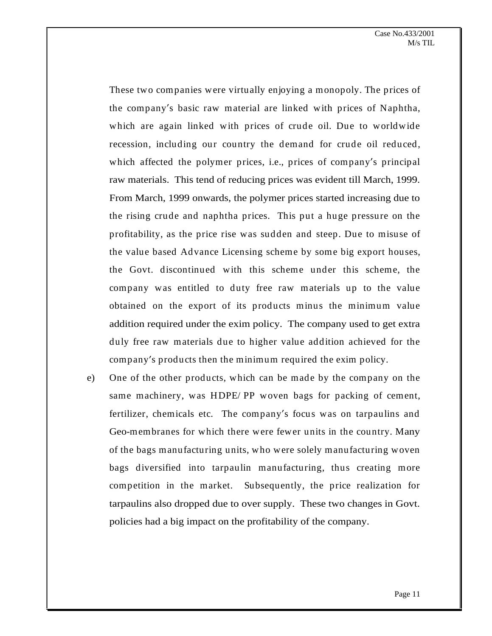These two companies were virtually enjoying a monopoly. The prices of the company's basic raw material are linked with prices of Naphtha, which are again linked with prices of crude oil. Due to worldwide recession, including our country the demand for crude oil reduced, which affected the polymer prices, i.e., prices of company's principal raw materials. This tend of reducing prices was evident till March, 1999. From March, 1999 onwards, the polymer prices started increasing due to the rising crude and naphtha prices. This put a huge pressure on the profitability, as the price rise was sudden and steep. Due to misuse of the value based Advance Licensing scheme by some big export houses, the Govt. discontinued with this scheme under this scheme, the company was entitled to duty free raw materials up to the value obtained on the export of its products minus the minimum value addition required under the exim policy. The company used to get extra duly free raw materials due to higher value addition achieved for the company's products then the minimum required the eximpolicy.

e) One of the other products, which can be made by the company on the same machinery, was HDPE/ PP woven bags for packing of cement, fertilizer, chemicals etc. The company's focus was on tarpaulins and Geo-membranes for which there were fewer units in the country. Many of the bags manufacturing units, who were solely manufacturing woven bags diversified into tarpaulin manufacturing, thus creating more competition in the market. Subsequently, the price realization for tarpaulins also dropped due to over supply. These two changes in Govt. policies had a big impact on the profitability of the company.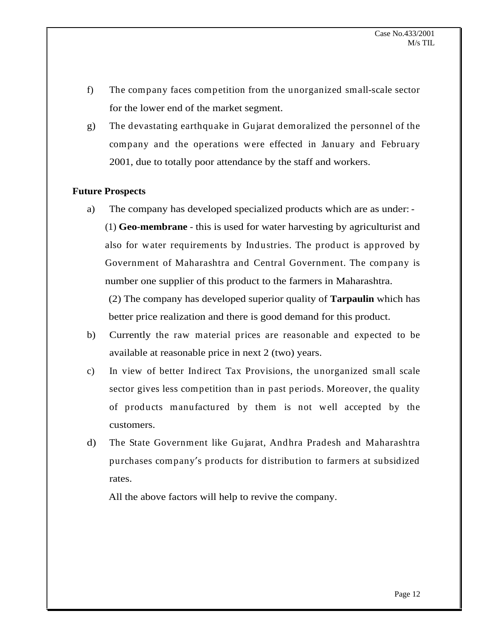- f) The company faces competition from the unorganized small-scale sector for the lower end of the market segment.
- g) The devastating earthquake in Gujarat demoralized the personnel of the company and the operations were effected in January and February 2001, due to totally poor attendance by the staff and workers.

#### **Future Prospects**

a) The company has developed specialized products which are as under: - (1) **Geo-membrane** - this is used for water harvesting by agriculturist and also for water requirements by Industries. The product is approved by Government of Maharashtra and Central Government. The company is number one supplier of this product to the farmers in Maharashtra.

(2) The company has developed superior quality of **Tarpaulin** which has better price realization and there is good demand for this product.

- b) Currently the raw material prices are reasonable and expected to be available at reasonable price in next 2 (two) years.
- c) In view of better Indirect Tax Provisions, the unorganized small scale sector gives less competition than in past periods. Moreover, the quality of products manufactured by them is not well accepted by the customers.
- d) The State Government like Gujarat, Andhra Pradesh and Maharashtra purchases company's products for distribution to farmers at subsidized rates.

All the above factors will help to revive the company.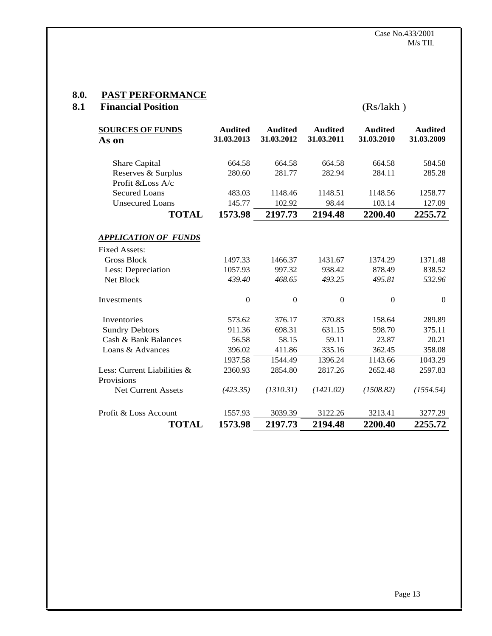#### **8.0. PAST PERFORMANCE**

| 8.1 | <b>Financial Position</b>        |                       |                       |                              | (Rs/lakh)                    |                              |
|-----|----------------------------------|-----------------------|-----------------------|------------------------------|------------------------------|------------------------------|
|     | <b>SOURCES OF FUNDS</b><br>As on | Audited<br>31.03.2013 | Audited<br>31.03.2012 | <b>Audited</b><br>31.03.2011 | <b>Audited</b><br>31.03.2010 | <b>Audited</b><br>31.03.2009 |
|     | Share Capital                    | 664.58                | 664.58                | 664.58                       | 664.58                       | 584.58                       |
|     | Reserves & Surplus               | 280.60                | 281.77                | 282.94                       | 284.11                       | 285.28                       |
|     | Profit &Loss A/c                 |                       |                       |                              |                              |                              |
|     | Secured Loans                    | 483.03                | 1148.46               | 1148.51                      | 1148.56                      | 1258.77                      |
|     | <b>Unsecured Loans</b>           | 145.77                | 102.92                | 98.44                        | 103.14                       | 127.09                       |
|     | <b>TOTAL</b>                     | 1573.98               | 2197.73               | 2194.48                      | 2200.40                      | 2255.72                      |
|     |                                  |                       |                       |                              |                              |                              |
|     | <b>APPLICATION OF FUNDS</b>      |                       |                       |                              |                              |                              |
|     | <b>Fixed Assets:</b>             |                       |                       |                              |                              |                              |
|     | <b>Gross Block</b>               | 1497.33               | 1466.37               | 1431.67                      | 1374.29                      | 1371.48                      |
|     | Less: Depreciation               | 1057.93               | 997.32                | 938.42                       | 878.49                       | 838.52                       |
|     | Net Block                        | 439.40                | 468.65                | 493.25                       | 495.81                       | 532.96                       |
|     | Investments                      |                       |                       | $\Omega$                     | $\overline{0}$               | $\Omega$                     |
|     |                                  |                       |                       |                              |                              |                              |
|     | Inventories                      | 573.62                | 376.17                | 370.83                       | 158.64                       | 289.89                       |
|     | <b>Sundry Debtors</b>            | 911.36                | 698.31                | 631.15                       | 598.70                       | 375.11                       |
|     | Cash & Bank Balances             | 56.58                 | 58.15                 | 59.11                        | 23.87                        | 20.21                        |
|     | Loans & Advances                 | 396.02                | 411.86                | 335.16                       | 362.45                       | 358.08                       |
|     |                                  | 1937.58               | 1544.49               | 1396.24                      | 1143.66                      | 1043.29                      |
|     | Less: Current Liabilities &      | 2360.93               | 2854.80               | 2817.26                      | 2652.48                      | 2597.83                      |
|     | Provisions                       |                       |                       |                              |                              |                              |
|     | Net Current Assets               | (423.35)              | (1310.31)             | (1421.02)                    | (1508.82)                    | (1554.54)                    |
|     |                                  |                       |                       |                              |                              |                              |
|     | Profit & Loss Account            | 1557.93               | 3039.39               | 3122.26                      | 3213.41                      | 3277.29                      |
|     | <b>TOTAL</b>                     | 1573.98               | 2197.73               | 2194.48                      | 2200.40                      | 2255.72                      |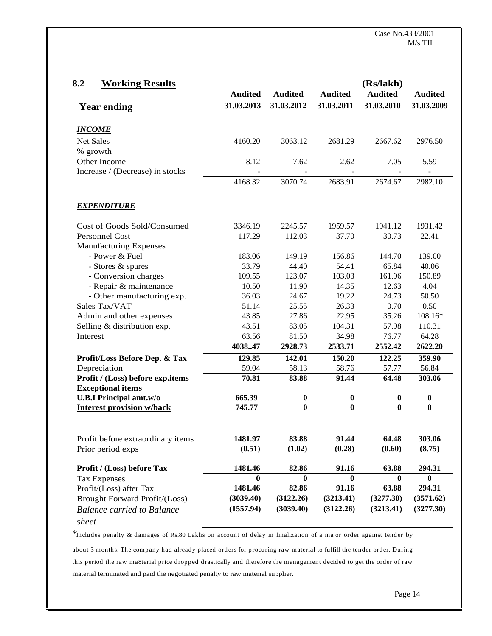| 8.2<br><b>Working Results</b>     |            |              |                | (Rs/lakh)      |                |
|-----------------------------------|------------|--------------|----------------|----------------|----------------|
|                                   | Audited    | Audited      | <b>Audited</b> | <b>Audited</b> | <b>Audited</b> |
| <b>Year ending</b>                | 31.03.2013 | 31.03.2012   | 31.03.2011     | 31.03.2010     | 31.03.2009     |
|                                   |            |              |                |                |                |
| <b>INCOME</b>                     |            |              |                |                |                |
| Net Sales                         | 4160.20    | 3063.12      | 2681.29        | 2667.62        | 2976.50        |
| % growth                          |            |              |                |                |                |
| Other Income                      | 8.12       | 7.62         | 2.62           | 7.05           | 5.59           |
| Increase / (Decrease) in stocks   | $\sim$     | $\sim$       | $\sim$         | $\sim$         | $\sim$ $-$     |
|                                   | 4168.32    | 3070.74      | 2683.91        | 2674.67        | 2982.10        |
|                                   |            |              |                |                |                |
| <b>EXPENDITURE</b>                |            |              |                |                |                |
|                                   |            |              |                |                |                |
| Cost of Goods Sold/Consumed       | 3346.19    | 2245.57      | 1959.57        | 1941.12        | 1931.42        |
| Personnel Cost                    | 117.29     | 112.03       | 37.70          | 30.73          | 22.41          |
| <b>Manufacturing Expenses</b>     |            |              |                |                |                |
| - Power & Fuel                    | 183.06     | 149.19       | 156.86         | 144.70         | 139.00         |
| - Stores & spares                 | 33.79      | 44.40        | 54.41          | 65.84          | 40.06          |
| - Conversion charges              | 109.55     | 123.07       | 103.03         | 161.96         | 150.89         |
| - Repair & maintenance            | 10.50      | 11.90        | 14.35          | 12.63          | 4.04           |
| - Other manufacturing exp.        | 36.03      | 24.67        | 19.22          | 24.73          | 50.50          |
| Sales Tax/VAT                     | 51.14      | 25.55        | 26.33          | 0.70           | 0.50           |
| Admin and other expenses          | 43.85      | 27.86        | 22.95          | 35.26          | 108.16*        |
| Selling & distribution exp.       | 43.51      | 83.05        | 104.31         | 57.98          | 110.31         |
| Interest                          | 63.56      | 81.50        | 34.98          | 76.77          | 64.28          |
|                                   | 403847     | 2928.73      | 2533.71        | 2552.42        | 2622.20        |
| Profit/Loss Before Dep. & Tax     | 129.85     | 142.01       | 150.20         | 122.25         | 359.90         |
| Depreciation                      | 59.04      | 58.13        | 58.76          | 57.77          | 56.84          |
| Profit / (Loss) before exp.items  | 70.81      | 83.88        | 91.44          | 64.48          | 303.06         |
| <b>Exceptional items</b>          |            |              |                |                |                |
| <b>U.B.I Principal amt.w/o</b>    | 665.39     |              |                |                |                |
| <b>Interest provision w/back</b>  | 745.77     | $\mathbf{v}$ |                |                |                |
|                                   |            |              |                |                |                |
|                                   |            |              |                |                |                |
| Profit before extraordinary items | 1481.97    | 83.88        | 91.44          | 64.48          | 303.06         |
| Prior period exps                 | (0.51)     | (1.02)       | (0.28)         | (0.60)         | (8.75)         |
| Profit / (Loss) before Tax        | 1481.46    | 82.86        | 91.16          | 63.88          | 294.31         |
| Tax Expenses                      |            | $\mathbf{0}$ | $\mathbf{0}$   |                | $\mathbf{0}$   |
| Profit/(Loss) after Tax           | 1481.46    | 82.86        | 91.16          | 63.88          | 294.31         |
| Brought Forward Profit/(Loss)     | (3039.40)  | (3122.26)    | (3213.41)      | (3277.30)      | (3571.62)      |
| <b>Balance carried to Balance</b> | (1557.94)  | (3039.40)    | (3122.26)      | (3213.41)      | (3277.30)      |
|                                   |            |              |                |                |                |
| sheet                             |            |              |                |                |                |

\*Includes penalty & damages of Rs.80 Lakhs on account of delay in finalization of a major order against tender by<br>about 3 months. The company had already placed orders for procuring raw material to fulfill the tender order

this period the raw ma8terial price dropped drastically and therefore the management decided to get the order of raw material terminated and paid the negotiated penalty to raw material supplier.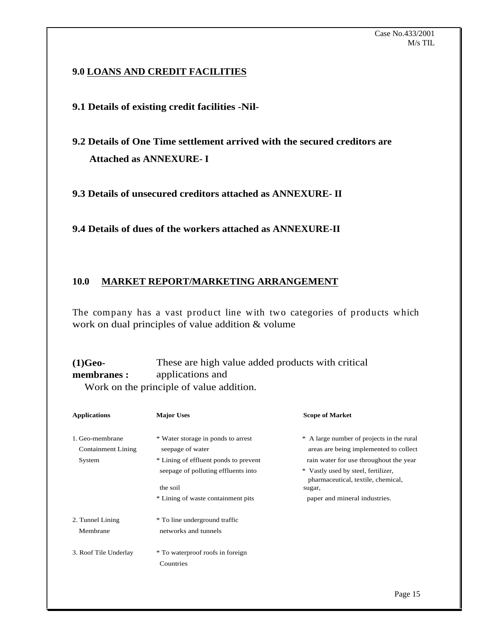## **9.0 LOANS AND CREDIT FACILITIES**

# **9.1 Details of existing credit facilities -Nil-**

**9.2 Details of One Time settlement arrived with the secured creditors are Attached as ANNEXURE- I**

**9.3 Details of unsecured creditors attached as ANNEXURE- II**

**9.4 Details of dues of the workers attached as ANNEXURE-II**

## **10.0 MARKET REPORT/MARKETING ARRANGEMENT**

The company has a vast product line with two categories of products which work on dual principles of value addition & volume

**(1)Geo-** These are high value added products with critical **membranes :** applications and applications and the contraction of the contraction of the contraction of the contraction of the contraction of the contraction of the contraction of the contraction of the contraction of the contraction of the contraction Work on the principle of value addition.

| <b>Applications</b>       | <b>Major Uses</b>                     | <b>Scope of Market</b>                                                    |
|---------------------------|---------------------------------------|---------------------------------------------------------------------------|
| 1. Geo-membrane           | * Water storage in ponds to arrest    | * A large number of projects in the rural                                 |
| <b>Containment Lining</b> | seepage of water                      | areas are being implemented to collect                                    |
| System                    | * Lining of effluent ponds to prevent | rain water for use throughout the year                                    |
|                           | seepage of polluting effluents into   | * Vastly used by steel, fertilizer,<br>pharmaceutical, textile, chemical, |
|                           | the soil                              | sugar,                                                                    |
|                           | * Lining of waste containment pits    | paper and mineral industries.                                             |
|                           |                                       |                                                                           |
| 2. Tunnel Lining          | * To line underground traffic         |                                                                           |
| Membrane                  | networks and tunnels                  |                                                                           |
| 3. Roof Tile Underlay     | * To waterproof roofs in foreign      |                                                                           |
|                           | Countries                             |                                                                           |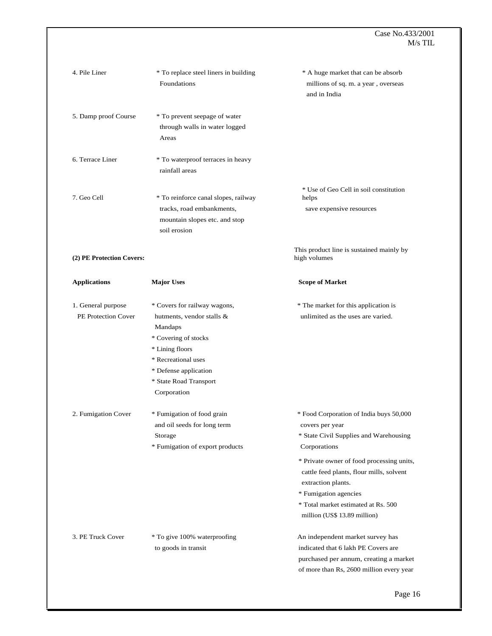#### $\text{Case No.433/2001}$  |  $M/s$  TIL  $\parallel$

| 4. Pile Liner             | * To replace steel liners in building | * A huge market that can be absorb        |
|---------------------------|---------------------------------------|-------------------------------------------|
|                           | Foundations                           | millions of sq. m. a year, overseas       |
|                           |                                       | and in India                              |
|                           |                                       |                                           |
| 5. Damp proof Course      | * To prevent seepage of water         |                                           |
|                           | through walls in water logged         |                                           |
|                           | Areas                                 |                                           |
| 6. Terrace Liner          | * To waterproof terraces in heavy     |                                           |
|                           | rainfall areas                        |                                           |
|                           |                                       |                                           |
|                           |                                       | * Use of Geo Cell in soil constitution    |
| 7. Geo Cell               | * To reinforce canal slopes, railway  | helps                                     |
|                           | tracks, road embankments,             | save expensive resources                  |
|                           | mountain slopes etc. and stop         |                                           |
|                           | soil erosion                          |                                           |
|                           |                                       | This product line is sustained mainly by  |
| (2) PE Protection Covers: |                                       | high volumes                              |
|                           |                                       |                                           |
| <b>Applications</b>       | <b>Major Uses</b>                     | <b>Scope of Market</b>                    |
|                           |                                       |                                           |
| 1. General purpose        | * Covers for railway wagons,          | * The market for this application is      |
| PE Protection Cover       | hutments, vendor stalls &             | unlimited as the uses are varied.         |
|                           | Mandaps                               |                                           |
|                           | * Covering of stocks                  |                                           |
|                           | * Lining floors                       |                                           |
|                           | * Recreational uses                   |                                           |
|                           | * Defense application                 |                                           |
|                           | * State Road Transport                |                                           |
|                           | Corporation                           |                                           |
|                           |                                       |                                           |
| 2. Fumigation Cover       | * Fumigation of food grain            | * Food Corporation of India buys 50,000   |
|                           | and oil seeds for long term           | covers per year                           |
|                           | Storage                               | * State Civil Supplies and Warehousing    |
|                           | * Fumigation of export products       | Corporations                              |
|                           |                                       | * Private owner of food processing units, |
|                           |                                       | cattle feed plants, flour mills, solvent  |
|                           |                                       | extraction plants.                        |
|                           |                                       | * Fumigation agencies                     |
|                           |                                       | * Total market estimated at Rs. 500       |
|                           |                                       | million (US\$ 13.89 million)              |
|                           |                                       |                                           |
| 3. PE Truck Cover         | * To give 100% waterproofing          | An independent market survey has          |
|                           | to goods in transit                   | indicated that 6 lakh PE Covers are       |
|                           |                                       | purchased per annum, creating a market    |
|                           |                                       | of more than Rs, 2600 million every year  |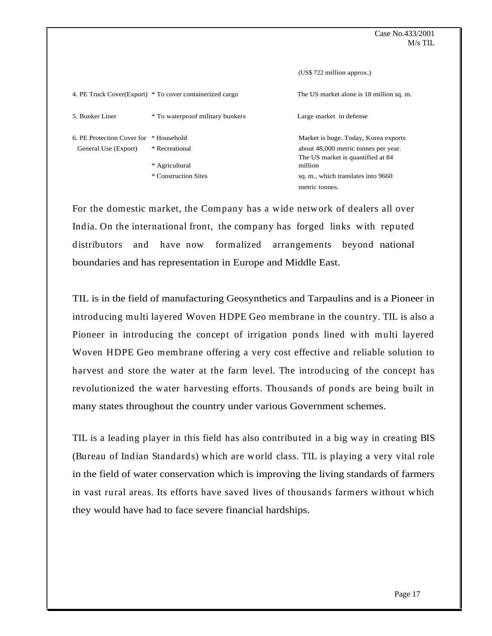#### $\text{Case No.433/2001}$  |  $M/s$  TIL  $\parallel$

|                                       |                                                          | (US\$ 722 million approx.)                                                |
|---------------------------------------|----------------------------------------------------------|---------------------------------------------------------------------------|
|                                       | 4. PE Truck Cover(Export) * To cover containerized cargo | The US market alone is 18 million sq. m.                                  |
|                                       |                                                          |                                                                           |
| 5. Bunker Liner                       | * To waterproof military bunkers                         | Large market in defense                                                   |
| 6. PE Protection Cover for *Household |                                                          | Market is huge. Today, Korea exports                                      |
| General Use (Export)                  | * Recreational                                           | about 48,000 metric tonnes per year.<br>The US market is quantified at 84 |
|                                       | * Agricultural                                           | million                                                                   |
|                                       | * Construction Sites                                     | sq. m., which translates into 9660                                        |
|                                       |                                                          | metric tonnes.                                                            |

For the domestic market, the Company has a wide network of dealers all over India. On the international front, the company has forged links with reputed distributors and have now formalized arrangements beyond national boundaries and has representation in Europe and Middle East.

TIL is in the field of manufacturing Geosynthetics and Tarpaulins and is a Pioneer in introducing multi layered Woven HDPE Geo membrane in the country. TIL is also a Pioneer in introducing the concept of irrigation ponds lined with multi layered Woven HDPE Geo membrane offering a very cost effective and reliable solution to harvest and store the water at the farm level. The introducing of the concept has revolutionized the water harvesting efforts. Thousands of ponds are being built in many states throughout the country under various Government schemes.

TIL is a leading player in this field has also contributed in a big way in creating BIS (Bureau of Indian Standards) which are world class. TIL is playing a very vital role in the field of water conservation which is improving the living standards of farmers in vast rural areas. Its efforts have saved lives of thousands farmers without which they would have had to face severe financial hardships.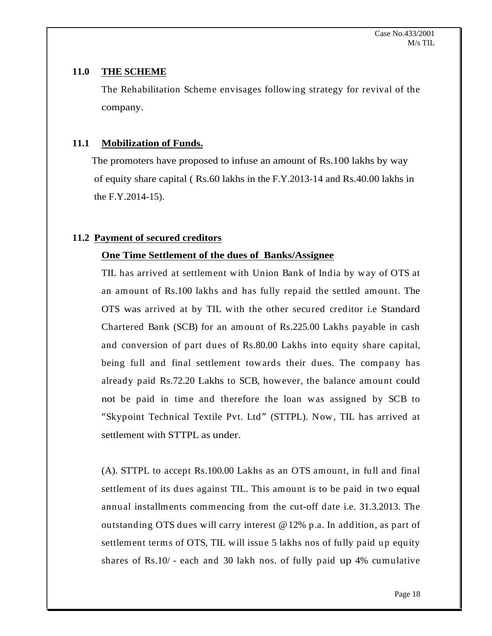## **11.0 THE SCHEME**

The Rehabilitation Scheme envisages following strategy for revival of the company.

# **11.1 Mobilization of Funds.**

 The promoters have proposed to infuse an amount of Rs.100 lakhs by way of equity share capital ( Rs.60 lakhs in the F.Y.2013-14 and Rs.40.00 lakhs in the F.Y.2014-15).

# **11.2 Payment of secured creditors**

# **One Time Settlement of the dues of Banks/Assignee**

TIL has arrived at settlement with Union Bank of Indiaby way of OTS at an amount of Rs.100 lakhs and has fully repaid the settled amount. The OTS was arrived at by TIL with the other secured creditor i.e Standard Chartered Bank (SCB) for an amount of Rs.225.00 Lakhs payable in cash and conversion of part dues of Rs.80.00 Lakhs into equity share capital, being full and final settlement towards their dues. The company has already paid Rs.72.20 Lakhs to SCB, however, the balance amount could not be paid in time and therefore the loan was assigned by SCB to "Skypoint Technical Textile Pvt. Ltd" (STTPL). Now, TIL has arrived at settlement with STTPL as under.

(A). STTPL to accept Rs.100.00 Lakhs as an OTS amount, in full and final<br>settlement of its dues against TIL. This amount is to be paid in two equal<br>annual installments commencing from the cut-off date i.e. 31.3.2013. The<br>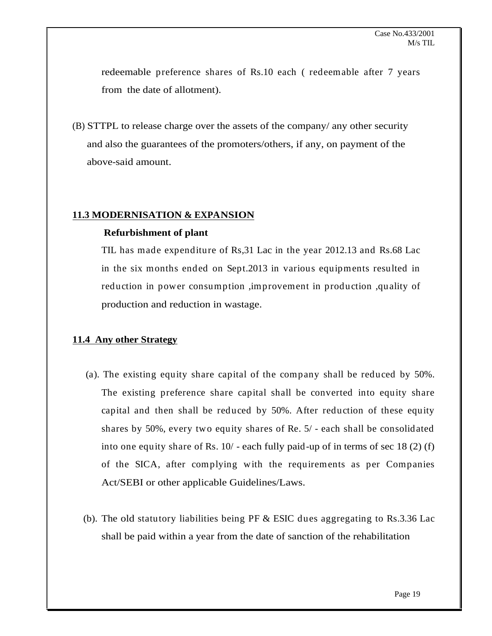redeemable preference shares of Rs.10 each ( redeemable after 7 years from the date of allotment).

(B) STTPL to release charge over the assets of the company/ any other security and also the guarantees of the promoters/others, if any, on payment of the above-said amount.

#### **11.3 MODERNISATION & EXPANSION**

#### **Refurbishment of plant**

TIL has made expenditure of Rs,31 Lac in the year 2012.13 and Rs.68 Lac in the six months ended on Sept.2013 in various equipments resulted in reduction in power consumption ,improvement in production ,quality of production and reduction in wastage.

#### **11.4 Any other Strategy**

- (a). The existing equity share capital of the company shall be reduced by 50%. The existing preference share capital shall be converted into equity share capital and then shall be reduced by 50%. After reduction of these equity shares by 50%, every two equity shares of Re. 5/ - each shall be consolidated into one equity share of Rs. 10/ - each fully paid-up of in terms of sec 18 (2) (f) of the SICA, after complying with the requirements as per Companies Act/SEBI or other applicable Guidelines/Laws.
- (b). The old statutory liabilities being PF & ESIC dues aggregating to Rs.3.36 Lac shall be paid within a year from the date of sanction of the rehabilitation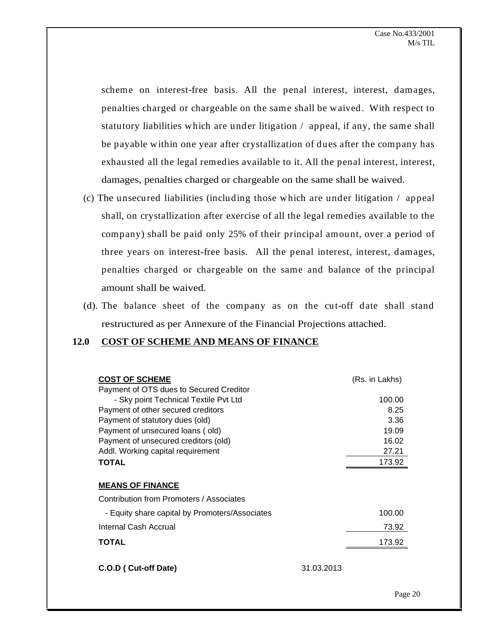scheme on interest-free basis. All the penal interest, interest, damages, penalties charged or chargeable on the same shall be waived. With respect to statutory liabilities which are under litigation / appeal, if any, the same shall be payable within one year after crystallization of dues after the company has exhausted all the legal remedies available to it. All the penal interest, interest, damages, penalties charged or chargeable on the same shall be waived.

- (c) The unsecured liabilities (including those which are under litigation / appeal shall, on crystallization after exercise of all the legal remedies available to the company) shall be paid only 25% of their principal amount, over a period of three years on interest-free basis. All the penal interest, interest, damages, penalties charged or chargeable on the same and balance of the principal amount shall be waived.
- (d). The balance sheet of the company as on the cut-off date shall stand restructured as per Annexure of the Financial Projections attached.

#### **12.0 COST OF SCHEME AND MEANS OF FINANCE**

| <b>COST OF SCHEME</b>                          | (Rs. in Lakhs)                                                             |
|------------------------------------------------|----------------------------------------------------------------------------|
| Payment of OTS dues to Secured Creditor        |                                                                            |
| - Sky point Technical Textile Pvt Ltd          | 100.00                                                                     |
| Payment of other secured creditors             | 8.25                                                                       |
| Payment of statutory dues (old)                | 3.36                                                                       |
| Payment of unsecured loans (old)               | 19.09                                                                      |
| Payment of unsecured creditors (old)           | 16.02                                                                      |
| Addl. Working capital requirement              | 27.21                                                                      |
| <b>TOTAL</b>                                   | 173.92                                                                     |
|                                                |                                                                            |
| <b>MEANS OF FINANCE</b>                        |                                                                            |
| Contribution from Promoters / Associates       |                                                                            |
| - Equity share capital by Promoters/Associates | 100.00                                                                     |
| Internal Cash Accrual                          | 73.92                                                                      |
| <b>TOTAL</b>                                   | 173.92                                                                     |
|                                                | the control of the control of the control of the control of the control of |
|                                                |                                                                            |
| C.O.D (Cut-off Date)                           | 31.03.2013                                                                 |
|                                                |                                                                            |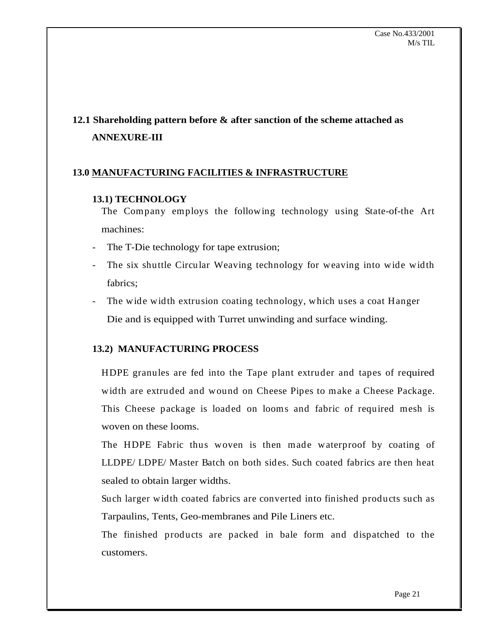# **12.1 Shareholding pattern before & after sanction of the scheme attached as ANNEXURE-III**

# **13.0 MANUFACTURING FACILITIES & INFRASTRUCTURE**

#### **13.1) TECHNOLOGY**

The Company employs the following technology using State-of-the Art machines:

- The T-Die technology for tape extrusion;
- The six shuttle Circular Weaving technology for weaving into wide width fabrics;
- The wide width extrusion coating technology, which uses a coat Hanger Die and is equipped with Turret unwinding and surface winding.

# **13.2) MANUFACTURING PROCESS**

HDPE granules are fed into the Tape plant extruder and tapes of required width are extruded and wound on Cheese Pipes to make a Cheese Package. This Cheese package is loaded on looms and fabric of required mesh is woven on these looms.

The HDPE Fabric thus woven is then made waterproof by coating of LLDPE/ LDPE/ Master Batch on both sides. Such coated fabrics are then heat sealed to obtain larger widths.

Such larger width coated fabrics are converted into finished products such as Tarpaulins, Tents, Geo-membranes and Pile Liners etc.

The finished products are packed in bale form and dispatched to the customers.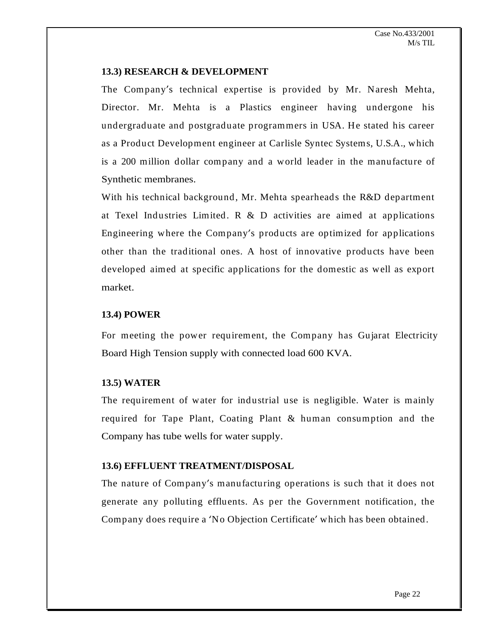#### **13.3) RESEARCH & DEVELOPMENT**

The Company's technical expertise is provided by Mr. Naresh Mehta, Director. Mr. Mehta is a Plastics engineer having undergone his undergraduate and postgraduate programmers in USA. He stated his career as a Product Development engineer at Carlisle Syntec Systems, U.S.A., which is a 200 million dollar company and a world leader in the manufacture of Synthetic membranes.

With his technical background, Mr. Mehta spearheads the R&D department at Texel Industries Limited.  $R \& D$  activities are aimed at applications Engineering where the Company's products are optimized for applications other than the traditional ones. A host of innovative products have been developed aimed at specific applications for the domestic as well as export market.

## **13.4) POWER**

For meeting the power requirement, the Company has Gujarat Electricity Board High Tension supply with connected load 600 KVA.

## **13.5) WATER**

The requirement of water for industrial use is negligible. Water is mainly required for Tape Plant, Coating Plant & human consumption and the Company has tube wells for water supply.

## **13.6) EFFLUENT TREATMENT/DISPOSAL**

The nature of Company's manufacturing operations is such that it does not generate any polluting effluents. As per the Government notification, the Company does require a 'No Objection Certificate' which has been obtained.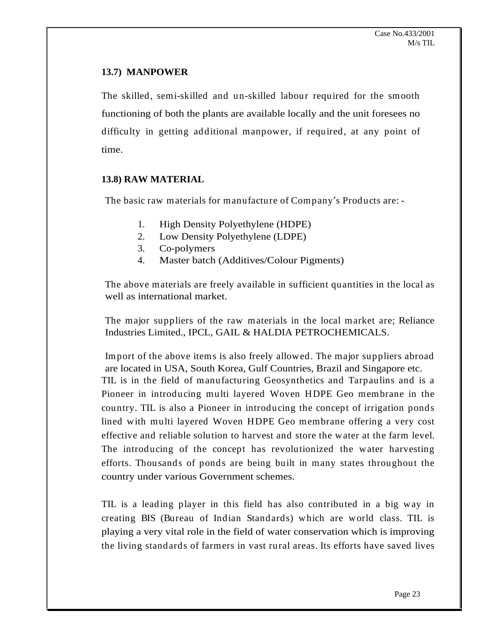# **13.7) MANPOWER**

The skilled, semi-skilled and un-skilled labour required for the smooth functioning of both the plants are available locally and the unit foresees no difficulty in getting additional manpower, if required, at any point of time.

**13.8) RAW MATERIAL**<br>
The basic raw materials for manufacture of Company's Products are: -

- 1. High Density Polyethylene (HDPE)
- 2. Low Density Polyethylene (LDPE)
- 3. Co-polymers
- 4. Master batch (Additives/Colour Pigments)

The above materials are freely available in sufficient quantities in the local as well as international market.

The major suppliers of the raw materials in the local market are; Reliance Industries Limited., IPCL, GAIL & HALDIA PETROCHEMICALS.

Import of the above items is also freely allowed. The major suppliers abroad are located in USA, South Korea, Gulf Countries, Brazil and Singapore etc. TIL is in the field of manufacturing Geosynthetics and Tarpaulins and is a Pioneer in introducing multi layered Woven HDPE Geo membrane in the country. TIL is also a Pioneer in introducing the concept of irrigation ponds lined with multi layered Woven HDPE Geo membrane offering a very cost effective and reliable solution to harvest and store the water at the farm level. The introducing of the concept has revolutionized the water harvesting efforts. Thousands of ponds are being built in many states throughout the country under various Government schemes.

TIL is a leading player in this field has also contributed in a big way in creating BIS (Bureau of Indian Standards) which are world class. TIL is playing a very vital role in the field of water conservation which is improving the living standards of farmers in vast rural areas. Its efforts have saved lives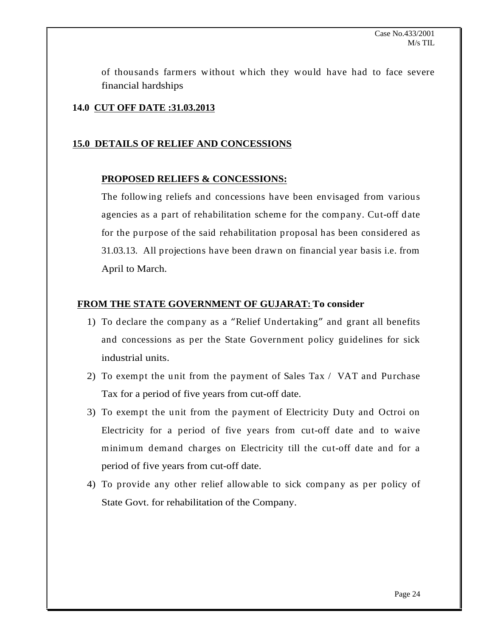of thousands farmers without which they would have had to face severe financial hardships **the set of the set of the set of the set of the set of the set of the set of the set of the set of the set of the set of the set of the set of the set of the set of the set of the set of the set of the** 

## **14.0 CUT OFF DATE :31.03.2013**

#### **15.0 DETAILS OF RELIEF AND CONCESSIONS**

#### **PROPOSED RELIEFS & CONCESSIONS:**

The following reliefs and concessions have been envisaged from various agencies as a part of rehabilitation scheme for the company. Cut-off date for the purpose of the said rehabilitation proposal has been considered as 31.03.13. All projections have been drawn on financial year basis i.e. from April to March.

#### **FROM THE STATE GOVERNMENT OF GUJARAT: To consider**

- 1) To declare the company as a "Relief Undertaking" and grant all benefits and concessions as per the State Government policy guidelines for sick industrial units.
- 2) To exempt the unit from the payment of Sales Tax / VAT and Purchase Tax for a period of five years from cut-off date.
- 3) To exempt the unit from the payment of Electricity Duty and Octroi on Electricity for a period of five years from cut-off date and to waive minimum demand charges on Electricity till the cut-off date and for a period of five years from cut-off date.
- 4) To provide any other relief allowable to sick company as per policy of State Govt. for rehabilitation of the Company.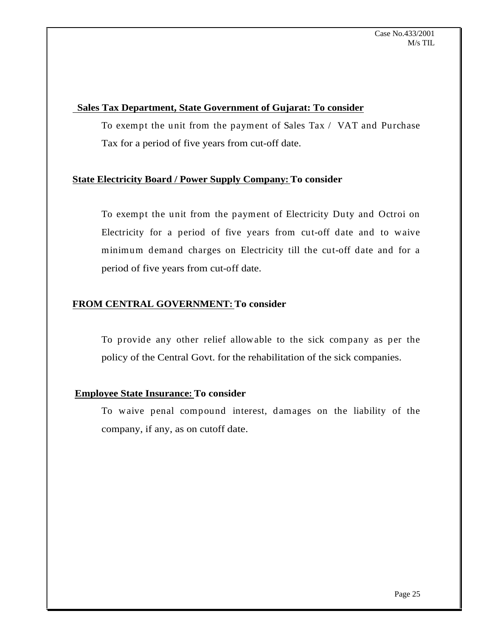#### **Sales Tax Department, State Government of Gujarat: To consider**

To exempt the unit from the payment of Sales Tax / VAT and Purchase Tax for a period of five years from cut-off date.

# **State Electricity Board / Power Supply Company: To consider**

To exempt the unit from the payment of Electricity Duty and Octroi on Electricity for a period of five years from cut-off date and to waive minimum demand charges on Electricity till the cut-off date and for a period of five years from cut-off date.

# **FROM CENTRAL GOVERNMENT: To consider**

To provide any other relief allowable to the sick company as per the policy of the Central Govt. for the rehabilitation of the sick companies.

## **Employee State Insurance: To consider**

To waive penal compound interest, damages on the liability of the company, if any, as on cutoff date.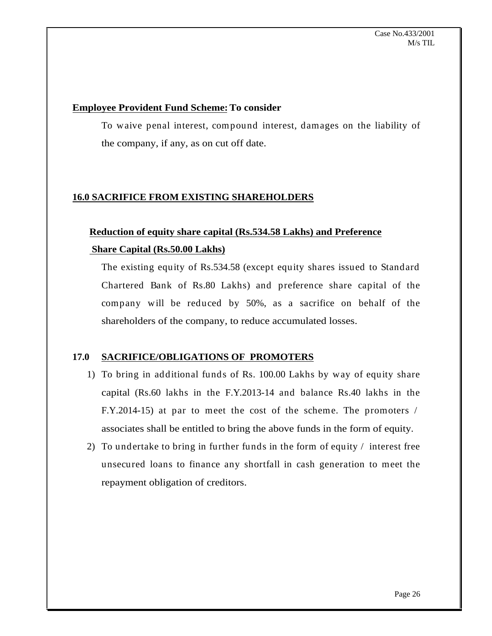#### **Employee Provident Fund Scheme:To consider**

To waive penal interest, compound interest, damages on the liability of the company, if any, as on cut off date.

# **16.0 SACRIFICE FROM EXISTING SHAREHOLDERS**

# **Reduction of equity share capital (Rs.534.58 Lakhs) and Preference Share Capital (Rs.50.00 Lakhs)**

The existing equity of Rs.534.58 (except equity shares issued to Standard Chartered Bank of Rs.80 Lakhs) and preference share capital of the company will be reduced by 50%, as a sacrifice on behalf of the shareholders of the company, to reduce accumulated losses.

## **17.0 SACRIFICE/OBLIGATIONS OF PROMOTERS**

- 1) To bring in additional funds of Rs. 100.00 Lakhs by way of equity share capital (Rs.60 lakhs in the F.Y.2013-14 and balance Rs.40 lakhs in the F.Y.2014-15) at par to meet the cost of the scheme. The promoters / associates shall be entitled to bring the above funds in the form of equity.
- 2) To undertake to bring in further funds in the form of equity / interest free unsecured loans to finance any shortfall in cash generation to meet the repayment obligation of creditors.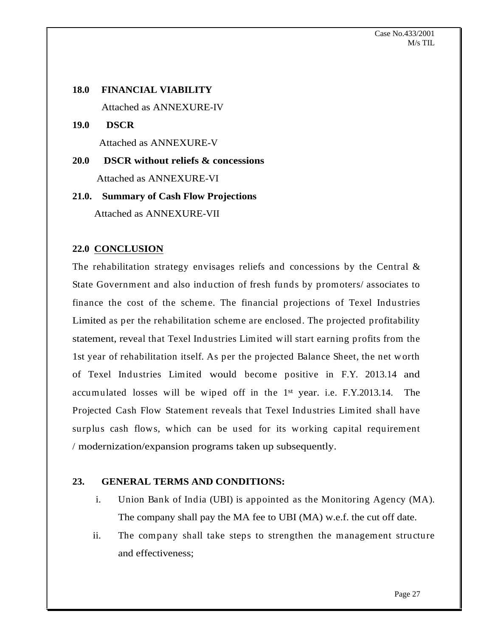# **18.0 FINANCIAL VIABILITY** Attached as ANNEXURE-IV

**19.0 DSCR** Attached as ANNEXURE-V

**20.0 DSCR without reliefs & concessions** Attached as ANNEXURE-VI

# **21.0. Summary of Cash Flow Projections** Attached as ANNEXURE-VII

## **22.0 CONCLUSION**

The rehabilitation strategy envisages reliefs and concessions by the Central  $\&$ State Government and also induction of fresh funds by promoters/ associates to finance the cost of the scheme. The financial projections of Texel Industries Limited as per the rehabilitation scheme are enclosed. The projected profitability statement, reveal that Texel Industries Limited will start earning profits from the 1st year of rehabilitation itself. As per the projected Balance Sheet, the net worth of Texel Industries Limited would become positive in F.Y. 2013.14 and accumulated losses will be wiped off in the  $1<sup>st</sup>$  year. i.e. F.Y.2013.14. The Projected Cash Flow Statement reveals that Texel Industries Limited shall have surplus cash flows, which can be used for its working capital requirement / modernization/expansion programs taken up subsequently.

#### **23. GENERAL TERMS AND CONDITIONS:**

- i. Union Bank of India (UBI) is appointed as the Monitoring Agency (MA). The company shall pay the MA fee to UBI (MA) w.e.f. the cut off date.
- ii. The company shall take steps to strengthen the management structure and effectiveness;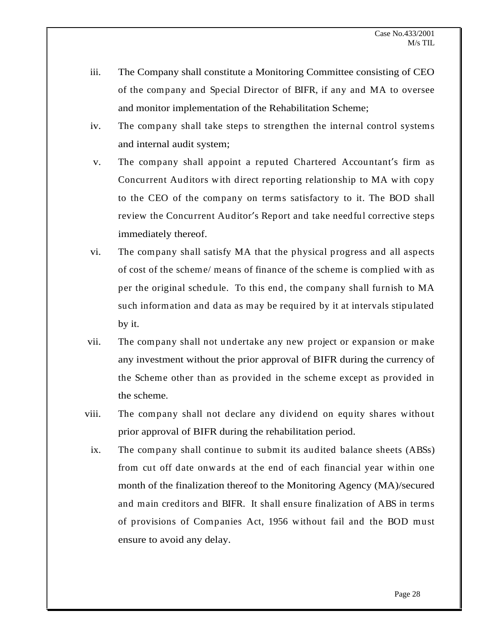- iii. The Company shall constitute a Monitoring Committee consisting of CEO of the company and Special Director of BIFR, if any and MA to oversee and monitor implementation of the Rehabilitation Scheme;
- iv. The company shall take steps to strengthen the internal control systems and internal audit system;
- v. The company shall appoint a reputed Chartered Accountant's firm as Concurrent Auditors with direct reporting relationship to MA with copy to the CEO of the company on terms satisfactory to it. The BOD shall review the Concurrent Auditor's Report and take needful corrective steps immediately thereof.
- vi. The company shall satisfy MA that the physical progress and all aspects of cost of the scheme/ means of finance of the scheme is complied with as per the original schedule. To this end, the company shall furnish to MA such information and data as may be required by it at intervals stipulated by it.
- vii. The company shall not undertake any new project or expansion or make any investment without the prior approval of BIFR during the currency of the Scheme other than as provided in the scheme except as provided in the scheme.
- viii. The company shall not declare any dividend on equity shares without prior approval of BIFR during the rehabilitation period.
- ix. The company shall continue to submit its audited balance sheets (ABSs) from cut off date onwards at the end of each financial year within one month of the finalization thereof to the Monitoring Agency (MA)/secured and main creditors and BIFR. It shall ensure finalization of ABS in terms of provisions of Companies Act, 1956 without fail and the BOD must ensure to avoid any delay.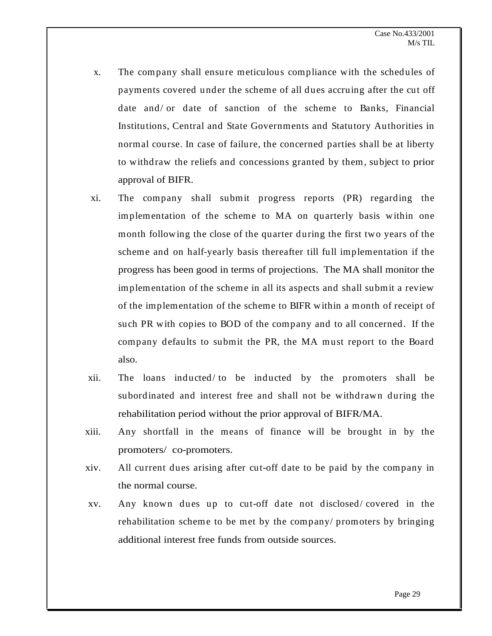- x. The company shall ensure meticulous compliance with the schedules of payments covered under the scheme of all dues accruing after the cut off date and/ or date of sanction of the scheme to Banks, Financial Institutions, Central and State Governments and Statutory Authorities in normal course. In case of failure, the concerned parties shall be at liberty to withdraw the reliefs and concessions granted by them, subject to prior approval of BIFR.
- xi. The company shall submit progress reports (PR) regarding the implementation of the scheme to MA on quarterly basis within one month following the close of the quarter during the first two years of the scheme and on half-yearly basis thereafter till full implementation if the progress has been good in terms of projections. The MA shall monitor the implementation of the scheme in all its aspects and shall submit a review of the implementation of the scheme to BIFR within a month of receipt of such PR with copies to BOD of the company and to all concerned. If the company defaults to submit the PR, the MA must report to the Board also.
- xii. The loans inducted/ to be inducted by the promoters shall be subordinated and interest free and shall not be withdrawn during the rehabilitation period without the prior approval of BIFR/MA.
- xiii. Any shortfall in the means of finance will be brought in by the promoters/ co-promoters.
- xiv. All current dues arising after cut-off date to be paid by the company in the normal course.
- xv. Any known dues up to cut-off date not disclosed/ covered in the rehabilitation scheme to be met by the company/ promoters by bringing additional interest free funds from outside sources.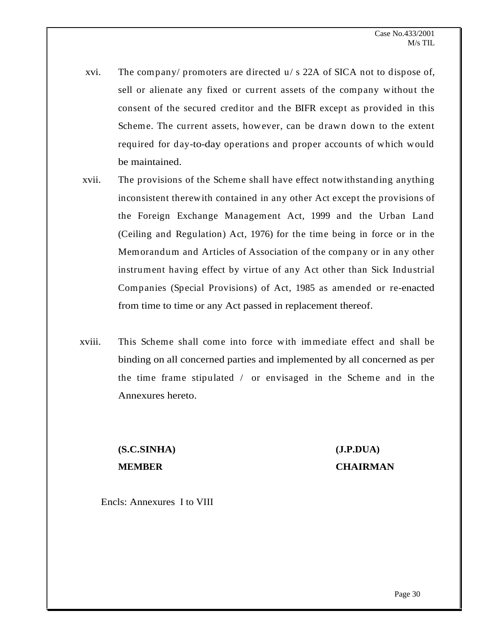- xvi. The company/ promoters are directed u/ s 22A of SICA not to dispose of, sell or alienate any fixed or current assets of the company without the consent of the secured creditor and the BIFR except as provided in this Scheme. The current assets, however, can be drawn down to the extent required for day-to-day operations and proper accounts of which would be maintained.
- xvii. The provisions of the Scheme shall have effect notwithstanding anything inconsistent therewith contained in any other Act except the provisions of the Foreign Exchange Management Act, 1999 and the Urban Land (Ceiling and Regulation) Act, 1976) for the time being in force or in the Memorandum and Articles of Association of the company or in any other instrument having effect by virtue of any Act other than Sick Industrial Companies (Special Provisions) of Act, 1985 as amended or re-enacted from time to time or any Act passed in replacement thereof.
- xviii. This Scheme shall come into force with immediate effect and shall be binding on all concerned parties and implemented by all concerned as per the time frame stipulated / or envisaged in the Scheme and in the Annexures hereto.

# **(S.C.SINHA) (J.P.DUA) MEMBER CHAIRMAN**

Encls: Annexures I to VIII